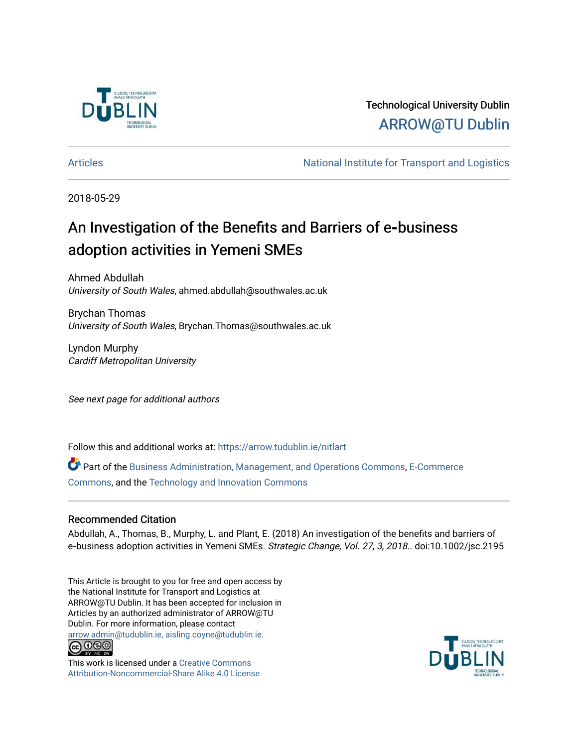

# Technological University Dublin [ARROW@TU Dublin](https://arrow.tudublin.ie/)

[Articles](https://arrow.tudublin.ie/nitlart) **National Institute for Transport and Logistics** Articles

2018-05-29

# An Investigation of the Benefits and Barriers of e**‐**business adoption activities in Yemeni SMEs

Ahmed Abdullah University of South Wales, ahmed.abdullah@southwales.ac.uk

Brychan Thomas University of South Wales, Brychan.Thomas@southwales.ac.uk

Lyndon Murphy Cardiff Metropolitan University

See next page for additional authors

Follow this and additional works at: [https://arrow.tudublin.ie/nitlart](https://arrow.tudublin.ie/nitlart?utm_source=arrow.tudublin.ie%2Fnitlart%2F38&utm_medium=PDF&utm_campaign=PDFCoverPages) 

Part of the [Business Administration, Management, and Operations Commons](http://network.bepress.com/hgg/discipline/623?utm_source=arrow.tudublin.ie%2Fnitlart%2F38&utm_medium=PDF&utm_campaign=PDFCoverPages), [E-Commerce](http://network.bepress.com/hgg/discipline/624?utm_source=arrow.tudublin.ie%2Fnitlart%2F38&utm_medium=PDF&utm_campaign=PDFCoverPages) [Commons](http://network.bepress.com/hgg/discipline/624?utm_source=arrow.tudublin.ie%2Fnitlart%2F38&utm_medium=PDF&utm_campaign=PDFCoverPages), and the [Technology and Innovation Commons](http://network.bepress.com/hgg/discipline/644?utm_source=arrow.tudublin.ie%2Fnitlart%2F38&utm_medium=PDF&utm_campaign=PDFCoverPages) 

## Recommended Citation

Abdullah, A., Thomas, B., Murphy, L. and Plant, E. (2018) An investigation of the benefits and barriers of e-business adoption activities in Yemeni SMEs. Strategic Change, Vol. 27, 3, 2018.. doi:10.1002/jsc.2195

This Article is brought to you for free and open access by the National Institute for Transport and Logistics at ARROW@TU Dublin. It has been accepted for inclusion in Articles by an authorized administrator of ARROW@TU Dublin. For more information, please contact [arrow.admin@tudublin.ie, aisling.coyne@tudublin.ie](mailto:arrow.admin@tudublin.ie,%20aisling.coyne@tudublin.ie).<br>(co 060



This work is licensed under a [Creative Commons](http://creativecommons.org/licenses/by-nc-sa/4.0/) [Attribution-Noncommercial-Share Alike 4.0 License](http://creativecommons.org/licenses/by-nc-sa/4.0/)

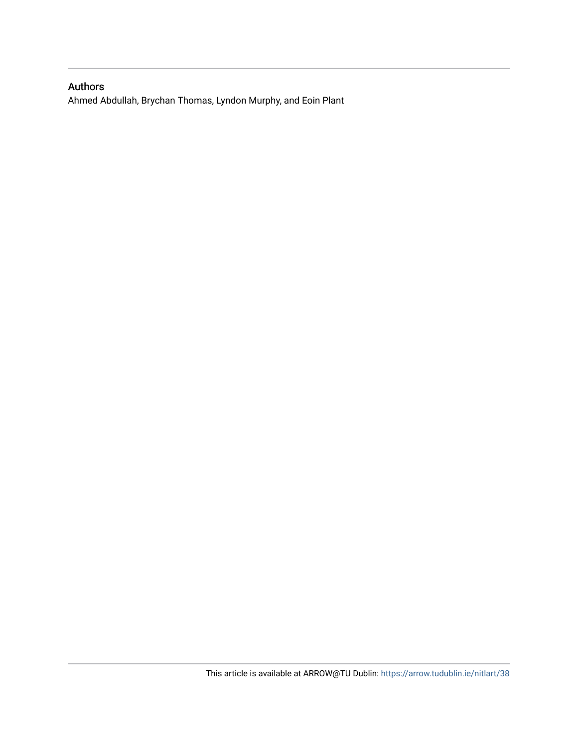# Authors

Ahmed Abdullah, Brychan Thomas, Lyndon Murphy, and Eoin Plant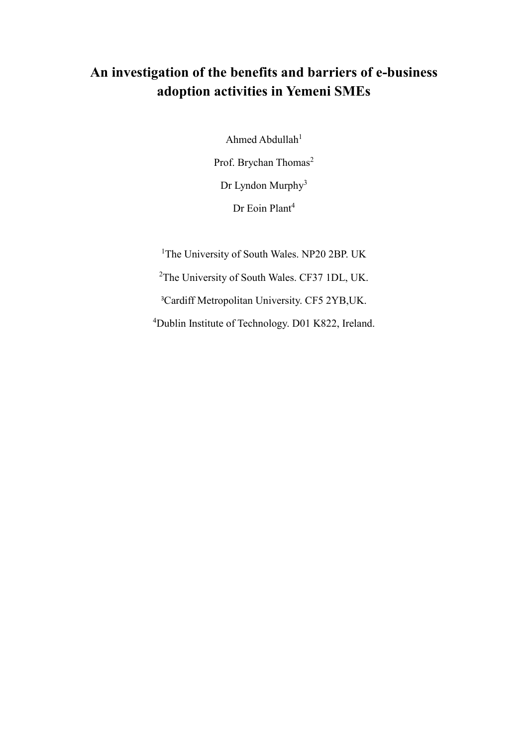# **An investigation of the benefits and barriers of e-business adoption activities in Yemeni SMEs**

Ahmed Abdullah $1$ Prof. Brychan Thomas<sup>2</sup> Dr Lyndon Murphy<sup>3</sup> Dr Eoin Plant<sup>4</sup>

The University of South Wales. NP20 2BP. UK The University of South Wales. CF37 1DL, UK. [Cardiff Metropolitan University.](file:///C:/Users/ac0359/AppData/Local/Microsoft/Windows/Temporary%20Internet%20Files/Content.Outlook/DVH12JKY/url) CF5 2YB,UK. Dublin Institute of Technology. D01 K822, Ireland.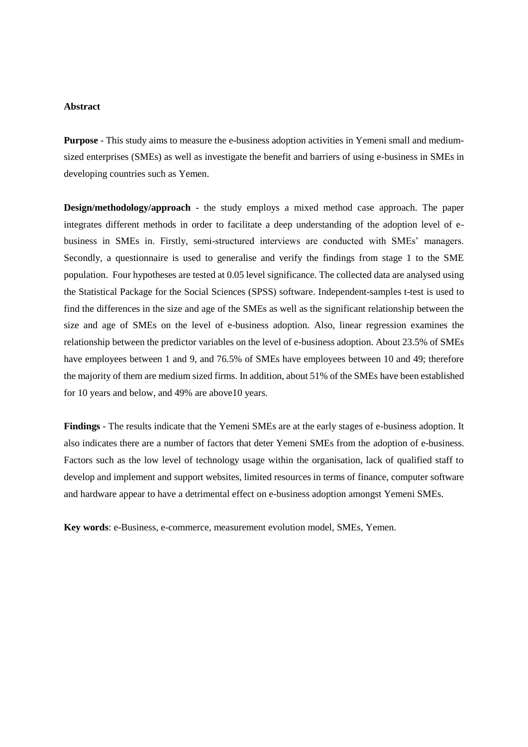#### **Abstract**

**Purpose** - This study aims to measure the e-business adoption activities in Yemeni small and mediumsized enterprises (SMEs) as well as investigate the benefit and barriers of using e-business in SMEs in developing countries such as Yemen.

**Design/methodology/approach** - the study employs a mixed method case approach. The paper integrates different methods in order to facilitate a deep understanding of the adoption level of ebusiness in SMEs in. Firstly, semi-structured interviews are conducted with SMEs' managers. Secondly, a questionnaire is used to generalise and verify the findings from stage 1 to the SME population. Four hypotheses are tested at 0.05 level significance. The collected data are analysed using the Statistical Package for the Social Sciences (SPSS) software. Independent-samples t-test is used to find the differences in the size and age of the SMEs as well as the significant relationship between the size and age of SMEs on the level of e-business adoption. Also, linear regression examines the relationship between the predictor variables on the level of e-business adoption. About 23.5% of SMEs have employees between 1 and 9, and 76.5% of SMEs have employees between 10 and 49; therefore the majority of them are medium sized firms. In addition, about 51% of the SMEs have been established for 10 years and below, and 49% are above10 years.

**Findings** - The results indicate that the Yemeni SMEs are at the early stages of e-business adoption. It also indicates there are a number of factors that deter Yemeni SMEs from the adoption of e-business. Factors such as the low level of technology usage within the organisation, lack of qualified staff to develop and implement and support websites, limited resources in terms of finance, computer software and hardware appear to have a detrimental effect on e-business adoption amongst Yemeni SMEs.

**Key words**: e-Business, e-commerce, measurement evolution model, SMEs, Yemen.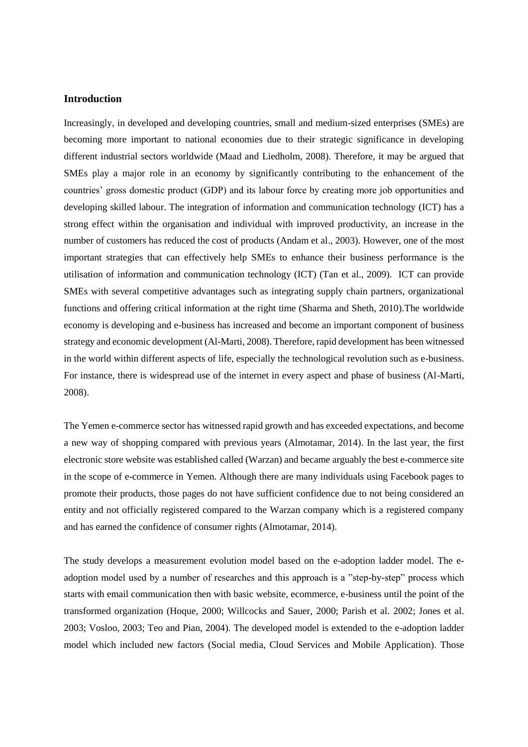#### **Introduction**

Increasingly, in developed and developing countries, small and medium-sized enterprises (SMEs) are becoming more important to national economies due to their strategic significance in developing different industrial sectors worldwide (Maad and Liedholm, 2008). Therefore, it may be argued that SMEs play a major role in an economy by significantly contributing to the enhancement of the countries' gross domestic product (GDP) and its labour force by creating more job opportunities and developing skilled labour. The integration of information and communication technology (ICT) has a strong effect within the organisation and individual with improved productivity, an increase in the number of customers has reduced the cost of products (Andam et al., 2003). However, one of the most important strategies that can effectively help SMEs to enhance their business performance is the utilisation of information and communication technology (ICT) (Tan et al., 2009). ICT can provide SMEs with several competitive advantages such as integrating supply chain partners, organizational functions and offering critical information at the right time (Sharma and Sheth, 2010).The worldwide economy is developing and e-business has increased and become an important component of business strategy and economic development (Al-Marti, 2008). Therefore, rapid development has been witnessed in the world within different aspects of life, especially the technological revolution such as e-business. For instance, there is widespread use of the internet in every aspect and phase of business (Al-Marti, 2008).

The Yemen e-commerce sector has witnessed rapid growth and has exceeded expectations, and become a new way of shopping compared with previous years (Almotamar, 2014). In the last year, the first electronic store website was established called (Warzan) and became arguably the best e-commerce site in the scope of e-commerce in Yemen. Although there are many individuals using Facebook pages to promote their products, those pages do not have sufficient confidence due to not being considered an entity and not officially registered compared to the Warzan company which is a registered company and has earned the confidence of consumer rights (Almotamar, 2014).

The study develops a measurement evolution model based on the e-adoption ladder model. The eadoption model used by a number of researches and this approach is a "step-by-step" process which starts with email communication then with basic website, ecommerce, e-business until the point of the transformed organization (Hoque, 2000; Willcocks and Sauer, 2000; Parish et al. 2002; Jones et al. 2003; Vosloo, 2003; Teo and Pian, 2004). The developed model is extended to the e-adoption ladder model which included new factors (Social media, Cloud Services and Mobile Application). Those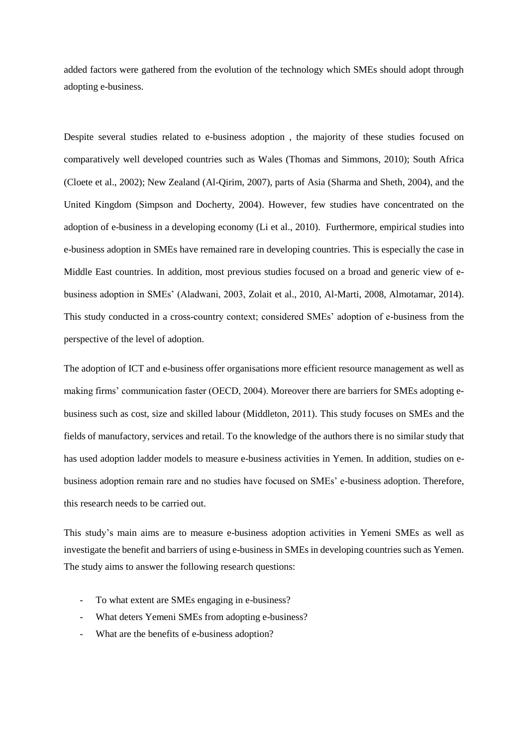added factors were gathered from the evolution of the technology which SMEs should adopt through adopting e-business.

Despite several studies related to e-business adoption , the majority of these studies focused on comparatively well developed countries such as Wales (Thomas and Simmons, 2010); South Africa (Cloete et al., 2002); New Zealand (Al-Qirim, 2007), parts of Asia (Sharma and Sheth, 2004), and the United Kingdom (Simpson and Docherty, 2004). However, few studies have concentrated on the adoption of e-business in a developing economy (Li et al., 2010). Furthermore, empirical studies into e-business adoption in SMEs have remained rare in developing countries. This is especially the case in Middle East countries. In addition, most previous studies focused on a broad and generic view of ebusiness adoption in SMEs' (Aladwani, 2003, Zolait et al., 2010, Al-Marti, 2008, Almotamar, 2014). This study conducted in a cross-country context; considered SMEs' adoption of e-business from the perspective of the level of adoption.

The adoption of ICT and e-business offer organisations more efficient resource management as well as making firms' communication faster (OECD, 2004). Moreover there are barriers for SMEs adopting ebusiness such as cost, size and skilled labour (Middleton, 2011). This study focuses on SMEs and the fields of manufactory, services and retail. To the knowledge of the authors there is no similar study that has used adoption ladder models to measure e-business activities in Yemen. In addition, studies on ebusiness adoption remain rare and no studies have focused on SMEs' e-business adoption. Therefore, this research needs to be carried out.

This study's main aims are to measure e-business adoption activities in Yemeni SMEs as well as investigate the benefit and barriers of using e-business in SMEs in developing countries such as Yemen. The study aims to answer the following research questions:

- To what extent are SMEs engaging in e-business?
- What deters Yemeni SMEs from adopting e-business?
- What are the benefits of e-business adoption?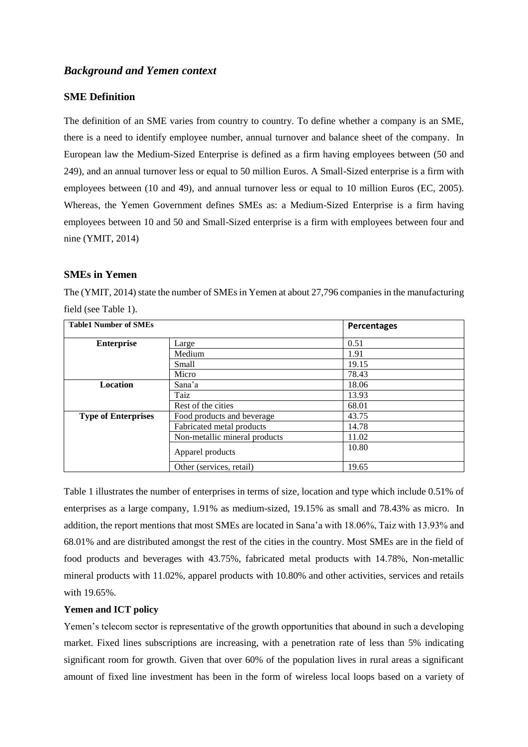## *Background and Yemen context*

## **SME Definition**

The definition of an SME varies from country to country. To define whether a company is an SME, there is a need to identify employee number, annual turnover and balance sheet of the company. In European law the Medium-Sized Enterprise is defined as a firm having employees between (50 and 249), and an annual turnover less or equal to 50 million Euros. A Small-Sized enterprise is a firm with employees between (10 and 49), and annual turnover less or equal to 10 million Euros (EC, 2005). Whereas, the Yemen Government defines SMEs as: a Medium-Sized Enterprise is a firm having employees between 10 and 50 and Small-Sized enterprise is a firm with employees between four and nine (YMIT, 2014)

## **SMEs in Yemen**

The (YMIT, 2014) state the number of SMEs in Yemen at about 27,796 companies in the manufacturing field (see Table 1).

| <b>Table1 Number of SMEs</b> |                               | Percentages |
|------------------------------|-------------------------------|-------------|
| <b>Enterprise</b>            | Large                         | 0.51        |
|                              | Medium                        | 1.91        |
|                              | Small                         | 19.15       |
|                              | Micro                         | 78.43       |
| <b>Location</b>              | Sana'a                        | 18.06       |
|                              | Taiz                          | 13.93       |
|                              | Rest of the cities            | 68.01       |
| <b>Type of Enterprises</b>   | Food products and beverage    | 43.75       |
|                              | Fabricated metal products     | 14.78       |
|                              | Non-metallic mineral products | 11.02       |
|                              | Apparel products              | 10.80       |
|                              | Other (services, retail)      | 19.65       |

Table 1 illustrates the number of enterprises in terms of size, location and type which include 0.51% of enterprises as a large company, 1.91% as medium-sized, 19.15% as small and 78.43% as micro. In addition, the report mentions that most SMEs are located in Sana'a with 18.06%, Taiz with 13.93% and 68.01% and are distributed amongst the rest of the cities in the country. Most SMEs are in the field of food products and beverages with 43.75%, fabricated metal products with 14.78%, Non-metallic mineral products with 11.02%, apparel products with 10.80% and other activities, services and retails with 19.65%.

### **Yemen and ICT policy**

Yemen's telecom sector is representative of the growth opportunities that abound in such a developing market. Fixed lines subscriptions are increasing, with a penetration rate of less than 5% indicating significant room for growth. Given that over 60% of the population lives in rural areas a significant amount of fixed line investment has been in the form of wireless local loops based on a variety of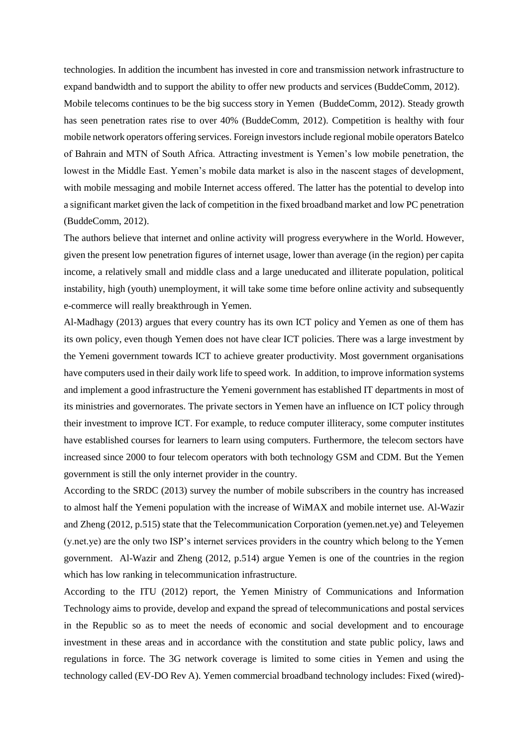technologies. In addition the incumbent has invested in core and transmission network infrastructure to expand bandwidth and to support the ability to offer new products and services (BuddeComm, 2012). Mobile telecoms continues to be the big success story in Yemen (BuddeComm, 2012). Steady growth has seen penetration rates rise to over 40% (BuddeComm, 2012). Competition is healthy with four mobile network operators offering services. Foreign investors include regional mobile operators Batelco of Bahrain and MTN of South Africa. Attracting investment is Yemen's low mobile penetration, the lowest in the Middle East. Yemen's mobile data market is also in the nascent stages of development, with mobile messaging and mobile Internet access offered. The latter has the potential to develop into a significant market given the lack of competition in the fixed broadband market and low PC penetration (BuddeComm, 2012).

The authors believe that internet and online activity will progress everywhere in the World. However, given the present low penetration figures of internet usage, lower than average (in the region) per capita income, a relatively small and middle class and a large uneducated and illiterate population, political instability, high (youth) unemployment, it will take some time before online activity and subsequently e-commerce will really breakthrough in Yemen.

Al-Madhagy (2013) argues that every country has its own ICT policy and Yemen as one of them has its own policy, even though Yemen does not have clear ICT policies. There was a large investment by the Yemeni government towards ICT to achieve greater productivity. Most government organisations have computers used in their daily work life to speed work. In addition, to improve information systems and implement a good infrastructure the Yemeni government has established IT departments in most of its ministries and governorates. The private sectors in Yemen have an influence on ICT policy through their investment to improve ICT. For example, to reduce computer illiteracy, some computer institutes have established courses for learners to learn using computers. Furthermore, the telecom sectors have increased since 2000 to four telecom operators with both technology GSM and CDM. But the Yemen government is still the only internet provider in the country.

According to the SRDC (2013) survey the number of mobile subscribers in the country has increased to almost half the Yemeni population with the increase of WiMAX and mobile internet use. Al-Wazir and Zheng (2012, p.515) state that the Telecommunication Corporation (yemen.net.ye) and Teleyemen (y.net.ye) are the only two ISP's internet services providers in the country which belong to the Yemen government. Al-Wazir and Zheng (2012, p.514) argue Yemen is one of the countries in the region which has low ranking in telecommunication infrastructure.

According to the ITU (2012) report, the Yemen Ministry of Communications and Information Technology aims to provide, develop and expand the spread of telecommunications and postal services in the Republic so as to meet the needs of economic and social development and to encourage investment in these areas and in accordance with the constitution and state public policy, laws and regulations in force. The 3G network coverage is limited to some cities in Yemen and using the technology called (EV-DO Rev A). Yemen commercial broadband technology includes: Fixed (wired)-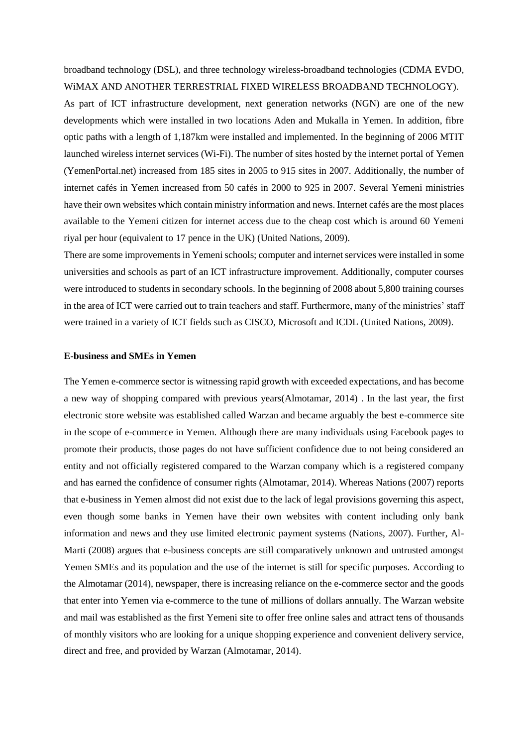broadband technology (DSL), and three technology wireless-broadband technologies (CDMA EVDO, WiMAX AND ANOTHER TERRESTRIAL FIXED WIRELESS BROADBAND TECHNOLOGY).

As part of ICT infrastructure development, next generation networks (NGN) are one of the new developments which were installed in two locations Aden and Mukalla in Yemen. In addition, fibre optic paths with a length of 1,187km were installed and implemented. In the beginning of 2006 MTIT launched wireless internet services (Wi-Fi). The number of sites hosted by the internet portal of Yemen (YemenPortal.net) increased from 185 sites in 2005 to 915 sites in 2007. Additionally, the number of internet cafés in Yemen increased from 50 cafés in 2000 to 925 in 2007. Several Yemeni ministries have their own websites which contain ministry information and news. Internet cafés are the most places available to the Yemeni citizen for internet access due to the cheap cost which is around 60 Yemeni riyal per hour (equivalent to 17 pence in the UK) (United Nations, 2009).

There are some improvements in Yemeni schools; computer and internet services were installed in some universities and schools as part of an ICT infrastructure improvement. Additionally, computer courses were introduced to students in secondary schools. In the beginning of 2008 about 5,800 training courses in the area of ICT were carried out to train teachers and staff. Furthermore, many of the ministries' staff were trained in a variety of ICT fields such as CISCO, Microsoft and ICDL (United Nations, 2009).

#### **E-business and SMEs in Yemen**

The Yemen e-commerce sector is witnessing rapid growth with exceeded expectations, and has become a new way of shopping compared with previous years(Almotamar, 2014) . In the last year, the first electronic store website was established called Warzan and became arguably the best e-commerce site in the scope of e-commerce in Yemen. Although there are many individuals using Facebook pages to promote their products, those pages do not have sufficient confidence due to not being considered an entity and not officially registered compared to the Warzan company which is a registered company and has earned the confidence of consumer rights (Almotamar, 2014). Whereas Nations (2007) reports that e-business in Yemen almost did not exist due to the lack of legal provisions governing this aspect, even though some banks in Yemen have their own websites with content including only bank information and news and they use limited electronic payment systems (Nations, 2007). Further, Al-Marti (2008) argues that e-business concepts are still comparatively unknown and untrusted amongst Yemen SMEs and its population and the use of the internet is still for specific purposes. According to the Almotamar (2014), newspaper, there is increasing reliance on the e-commerce sector and the goods that enter into Yemen via e-commerce to the tune of millions of dollars annually. The Warzan website and mail was established as the first Yemeni site to offer free online sales and attract tens of thousands of monthly visitors who are looking for a unique shopping experience and convenient delivery service, direct and free, and provided by Warzan (Almotamar, 2014).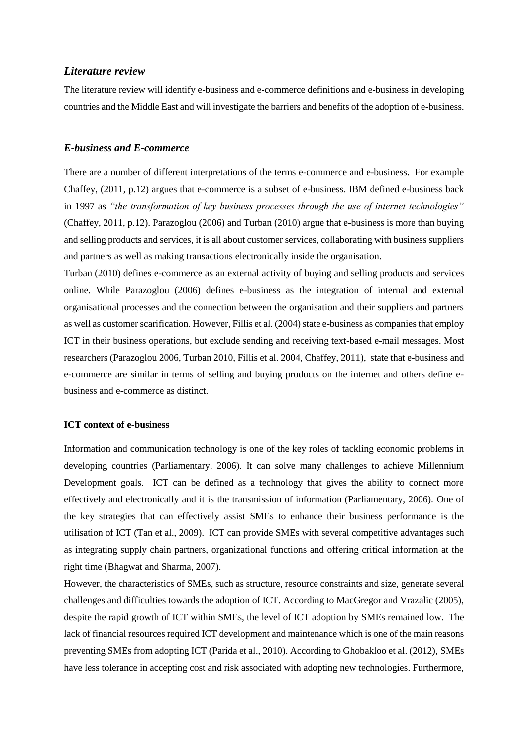### *Literature review*

The literature review will identify e-business and e-commerce definitions and e-business in developing countries and the Middle East and will investigate the barriers and benefits of the adoption of e-business.

#### *E-business and E-commerce*

There are a number of different interpretations of the terms e-commerce and e-business. For example Chaffey, (2011, p.12) argues that e-commerce is a subset of e-business. IBM defined e-business back in 1997 as *"the transformation of key business processes through the use of internet technologies"*  (Chaffey, 2011, p.12). Parazoglou (2006) and Turban (2010) argue that e-business is more than buying and selling products and services, it is all about customer services, collaborating with business suppliers and partners as well as making transactions electronically inside the organisation.

Turban (2010) defines e-commerce as an external activity of buying and selling products and services online. While Parazoglou (2006) defines e-business as the integration of internal and external organisational processes and the connection between the organisation and their suppliers and partners as well as customer scarification. However, Fillis et al. (2004) state e-business as companies that employ ICT in their business operations, but exclude sending and receiving text-based e-mail messages. Most researchers (Parazoglou 2006, Turban 2010, Fillis et al. 2004, Chaffey, 2011), state that e-business and e-commerce are similar in terms of selling and buying products on the internet and others define ebusiness and e-commerce as distinct.

## **ICT context of e-business**

Information and communication technology is one of the key roles of tackling economic problems in developing countries (Parliamentary, 2006). It can solve many challenges to achieve Millennium Development goals. ICT can be defined as a technology that gives the ability to connect more effectively and electronically and it is the transmission of information (Parliamentary, 2006). One of the key strategies that can effectively assist SMEs to enhance their business performance is the utilisation of ICT (Tan et al., 2009). ICT can provide SMEs with several competitive advantages such as integrating supply chain partners, organizational functions and offering critical information at the right time (Bhagwat and Sharma, 2007).

However, the characteristics of SMEs, such as structure, resource constraints and size, generate several challenges and difficulties towards the adoption of ICT. According to MacGregor and Vrazalic (2005), despite the rapid growth of ICT within SMEs, the level of ICT adoption by SMEs remained low. The lack of financial resources required ICT development and maintenance which is one of the main reasons preventing SMEs from adopting ICT (Parida et al., 2010). According to Ghobakloo et al. (2012), SMEs have less tolerance in accepting cost and risk associated with adopting new technologies. Furthermore,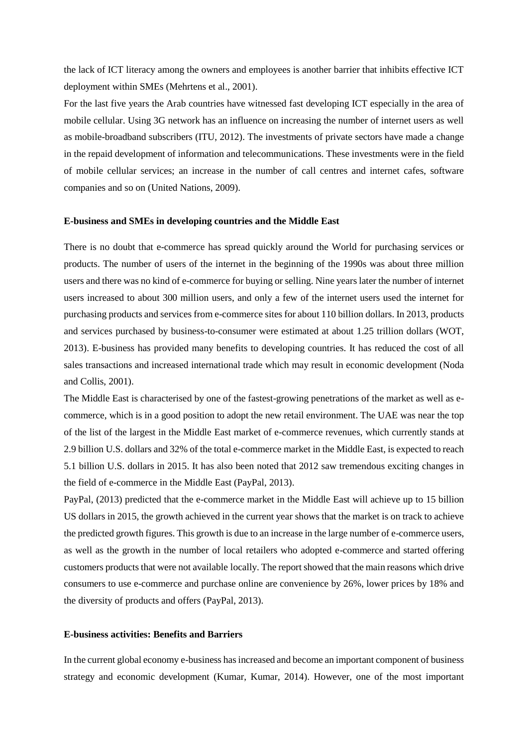the lack of ICT literacy among the owners and employees is another barrier that inhibits effective ICT deployment within SMEs (Mehrtens et al., 2001).

For the last five years the Arab countries have witnessed fast developing ICT especially in the area of mobile cellular. Using 3G network has an influence on increasing the number of internet users as well as mobile-broadband subscribers (ITU, 2012). The investments of private sectors have made a change in the repaid development of information and telecommunications. These investments were in the field of mobile cellular services; an increase in the number of call centres and internet cafes, software companies and so on (United Nations, 2009).

#### **E-business and SMEs in developing countries and the Middle East**

There is no doubt that e-commerce has spread quickly around the World for purchasing services or products. The number of users of the internet in the beginning of the 1990s was about three million users and there was no kind of e-commerce for buying or selling. Nine years later the number of internet users increased to about 300 million users, and only a few of the internet users used the internet for purchasing products and services from e-commerce sites for about 110 billion dollars. In 2013, products and services purchased by business-to-consumer were estimated at about 1.25 trillion dollars (WOT, 2013). E-business has provided many benefits to developing countries. It has reduced the cost of all sales transactions and increased international trade which may result in economic development (Noda and Collis, 2001).

The Middle East is characterised by one of the fastest-growing penetrations of the market as well as ecommerce, which is in a good position to adopt the new retail environment. The UAE was near the top of the list of the largest in the Middle East market of e-commerce revenues, which currently stands at 2.9 billion U.S. dollars and 32% of the total e-commerce market in the Middle East, is expected to reach 5.1 billion U.S. dollars in 2015. It has also been noted that 2012 saw tremendous exciting changes in the field of e-commerce in the Middle East (PayPal, 2013).

PayPal, (2013) predicted that the e-commerce market in the Middle East will achieve up to 15 billion US dollars in 2015, the growth achieved in the current year shows that the market is on track to achieve the predicted growth figures. This growth is due to an increase in the large number of e-commerce users, as well as the growth in the number of local retailers who adopted e-commerce and started offering customers products that were not available locally. The report showed that the main reasons which drive consumers to use e-commerce and purchase online are convenience by 26%, lower prices by 18% and the diversity of products and offers (PayPal, 2013).

#### **E-business activities: Benefits and Barriers**

In the current global economy e-business has increased and become an important component of business strategy and economic development (Kumar, Kumar, 2014). However, one of the most important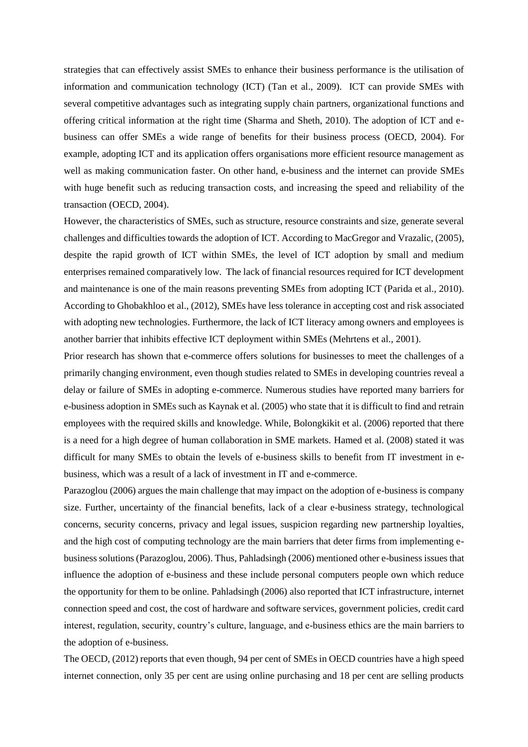strategies that can effectively assist SMEs to enhance their business performance is the utilisation of information and communication technology (ICT) (Tan et al., 2009). ICT can provide SMEs with several competitive advantages such as integrating supply chain partners, organizational functions and offering critical information at the right time (Sharma and Sheth, 2010). The adoption of ICT and ebusiness can offer SMEs a wide range of benefits for their business process (OECD, 2004). For example, adopting ICT and its application offers organisations more efficient resource management as well as making communication faster. On other hand, e-business and the internet can provide SMEs with huge benefit such as reducing transaction costs, and increasing the speed and reliability of the transaction (OECD, 2004).

However, the characteristics of SMEs, such as structure, resource constraints and size, generate several challenges and difficulties towards the adoption of ICT. According to MacGregor and Vrazalic, (2005), despite the rapid growth of ICT within SMEs, the level of ICT adoption by small and medium enterprises remained comparatively low. The lack of financial resources required for ICT development and maintenance is one of the main reasons preventing SMEs from adopting ICT (Parida et al., 2010). According to Ghobakhloo et al., (2012), SMEs have less tolerance in accepting cost and risk associated with adopting new technologies. Furthermore, the lack of ICT literacy among owners and employees is another barrier that inhibits effective ICT deployment within SMEs (Mehrtens et al., 2001).

Prior research has shown that e-commerce offers solutions for businesses to meet the challenges of a primarily changing environment, even though studies related to SMEs in developing countries reveal a delay or failure of SMEs in adopting e-commerce. Numerous studies have reported many barriers for e-business adoption in SMEs such as Kaynak et al. (2005) who state that it is difficult to find and retrain employees with the required skills and knowledge. While, Bolongkikit et al. (2006) reported that there is a need for a high degree of human collaboration in SME markets. Hamed et al. (2008) stated it was difficult for many SMEs to obtain the levels of e-business skills to benefit from IT investment in ebusiness, which was a result of a lack of investment in IT and e-commerce.

Parazoglou (2006) argues the main challenge that may impact on the adoption of e-business is company size. Further, uncertainty of the financial benefits, lack of a clear e-business strategy, technological concerns, security concerns, privacy and legal issues, suspicion regarding new partnership loyalties, and the high cost of computing technology are the main barriers that deter firms from implementing ebusiness solutions (Parazoglou, 2006). Thus, Pahladsingh (2006) mentioned other e-business issues that influence the adoption of e-business and these include personal computers people own which reduce the opportunity for them to be online. Pahladsingh (2006) also reported that ICT infrastructure, internet connection speed and cost, the cost of hardware and software services, government policies, credit card interest, regulation, security, country's culture, language, and e-business ethics are the main barriers to the adoption of e-business.

The OECD, (2012) reports that even though, 94 per cent of SMEs in OECD countries have a high speed internet connection, only 35 per cent are using online purchasing and 18 per cent are selling products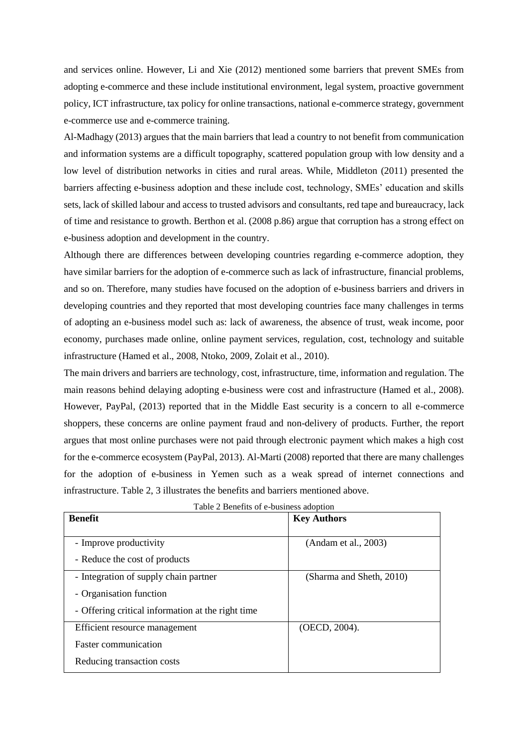and services online. However, Li and Xie (2012) mentioned some barriers that prevent SMEs from adopting e-commerce and these include institutional environment, legal system, proactive government policy, ICT infrastructure, tax policy for online transactions, national e-commerce strategy, government e-commerce use and e-commerce training.

Al-Madhagy (2013) argues that the main barriers that lead a country to not benefit from communication and information systems are a difficult topography, scattered population group with low density and a low level of distribution networks in cities and rural areas. While, Middleton (2011) presented the barriers affecting e-business adoption and these include cost, technology, SMEs' education and skills sets, lack of skilled labour and access to trusted advisors and consultants, red tape and bureaucracy, lack of time and resistance to growth. Berthon et al. (2008 p.86) argue that corruption has a strong effect on e-business adoption and development in the country.

Although there are differences between developing countries regarding e-commerce adoption, they have similar barriers for the adoption of e-commerce such as lack of infrastructure, financial problems, and so on. Therefore, many studies have focused on the adoption of e-business barriers and drivers in developing countries and they reported that most developing countries face many challenges in terms of adopting an e-business model such as: lack of awareness, the absence of trust, weak income, poor economy, purchases made online, online payment services, regulation, cost, technology and suitable infrastructure (Hamed et al., 2008, Ntoko, 2009, Zolait et al., 2010).

The main drivers and barriers are technology, cost, infrastructure, time, information and regulation. The main reasons behind delaying adopting e-business were cost and infrastructure (Hamed et al., 2008). However, PayPal, (2013) reported that in the Middle East security is a concern to all e-commerce shoppers, these concerns are online payment fraud and non-delivery of products. Further, the report argues that most online purchases were not paid through electronic payment which makes a high cost for the e-commerce ecosystem (PayPal, 2013). Al-Marti (2008) reported that there are many challenges for the adoption of e-business in Yemen such as a weak spread of internet connections and infrastructure. Table 2, 3 illustrates the benefits and barriers mentioned above.

| <b>Benefit</b>                                                                                                        | <b>Key Authors</b>       |
|-----------------------------------------------------------------------------------------------------------------------|--------------------------|
| - Improve productivity<br>- Reduce the cost of products                                                               | (Andam et al., 2003)     |
| - Integration of supply chain partner<br>- Organisation function<br>- Offering critical information at the right time | (Sharma and Sheth, 2010) |
| Efficient resource management<br><b>Faster communication</b><br>Reducing transaction costs                            | (OECD, 2004).            |

Table 2 Benefits of e-business adoption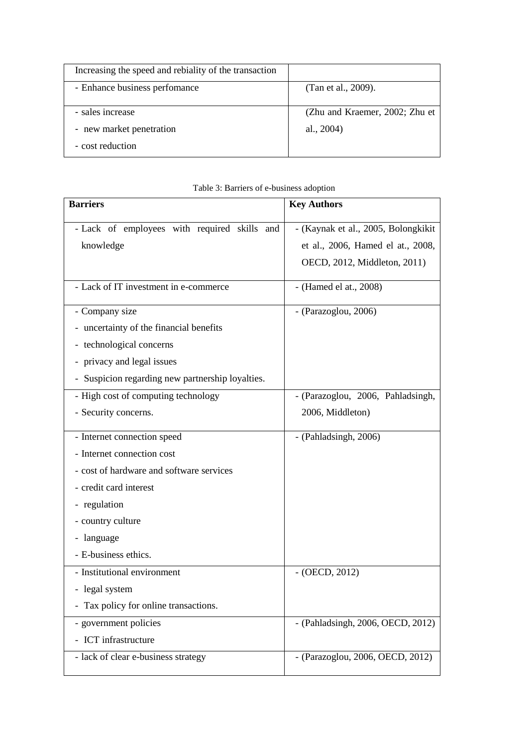| Increasing the speed and rebiality of the transaction |                                |
|-------------------------------------------------------|--------------------------------|
| - Enhance business perfomance                         | (Tan et al., 2009).            |
| - sales increase                                      | (Zhu and Kraemer, 2002; Zhu et |
| - new market penetration                              | al., $2004$ )                  |
| - cost reduction                                      |                                |

|  |  | Table 3: Barriers of e-business adoption |  |
|--|--|------------------------------------------|--|
|  |  |                                          |  |

| <b>Barriers</b>                                           | <b>Key Authors</b>                                                                                       |
|-----------------------------------------------------------|----------------------------------------------------------------------------------------------------------|
| - Lack of employees with required skills and<br>knowledge | - (Kaynak et al., 2005, Bolongkikit<br>et al., 2006, Hamed el at., 2008,<br>OECD, 2012, Middleton, 2011) |
| - Lack of IT investment in e-commerce                     | - (Hamed el at., 2008)                                                                                   |
| - Company size                                            | - (Parazoglou, 2006)                                                                                     |
| - uncertainty of the financial benefits                   |                                                                                                          |
| - technological concerns                                  |                                                                                                          |
| - privacy and legal issues                                |                                                                                                          |
| - Suspicion regarding new partnership loyalties.          |                                                                                                          |
| - High cost of computing technology                       | - (Parazoglou, 2006, Pahladsingh,                                                                        |
| - Security concerns.                                      | 2006, Middleton)                                                                                         |
| - Internet connection speed                               | - (Pahladsingh, 2006)                                                                                    |
| - Internet connection cost                                |                                                                                                          |
| - cost of hardware and software services                  |                                                                                                          |
| - credit card interest                                    |                                                                                                          |
| - regulation                                              |                                                                                                          |
| - country culture                                         |                                                                                                          |
| - language                                                |                                                                                                          |
| - E-business ethics.                                      |                                                                                                          |
| - Institutional environment                               | $-$ (OECD, 2012)                                                                                         |
| - legal system                                            |                                                                                                          |
| - Tax policy for online transactions.                     |                                                                                                          |
| - government policies                                     | - (Pahladsingh, 2006, OECD, 2012)                                                                        |
| - ICT infrastructure                                      |                                                                                                          |
| - lack of clear e-business strategy                       | - (Parazoglou, 2006, OECD, 2012)                                                                         |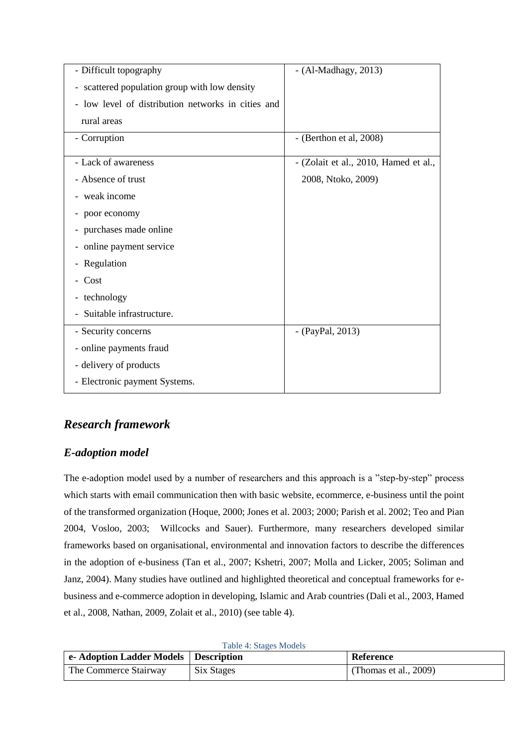| - Difficult topography                             | $-$ (Al-Madhagy, 2013)                |
|----------------------------------------------------|---------------------------------------|
| - scattered population group with low density      |                                       |
| - low level of distribution networks in cities and |                                       |
| rural areas                                        |                                       |
| - Corruption                                       | $-$ (Berthon et al, 2008)             |
| - Lack of awareness                                | - (Zolait et al., 2010, Hamed et al., |
| - Absence of trust                                 | 2008, Ntoko, 2009)                    |
| - weak income                                      |                                       |
| - poor economy                                     |                                       |
| - purchases made online                            |                                       |
| - online payment service                           |                                       |
| - Regulation                                       |                                       |
| - Cost                                             |                                       |
| - technology                                       |                                       |
| - Suitable infrastructure.                         |                                       |
| - Security concerns                                | - (PayPal, 2013)                      |
| - online payments fraud                            |                                       |
| - delivery of products                             |                                       |
| - Electronic payment Systems.                      |                                       |

# *Research framework*

# *E-adoption model*

The e-adoption model used by a number of researchers and this approach is a "step-by-step" process which starts with email communication then with basic website, ecommerce, e-business until the point of the transformed organization (Hoque, 2000; Jones et al. 2003; 2000; Parish et al. 2002; Teo and Pian 2004, Vosloo, 2003; Willcocks and Sauer). Furthermore, many researchers developed similar frameworks based on organisational, environmental and innovation factors to describe the differences in the adoption of e-business (Tan et al., 2007; Kshetri, 2007; Molla and Licker, 2005; Soliman and Janz, 2004). Many studies have outlined and highlighted theoretical and conceptual frameworks for ebusiness and e-commerce adoption in developing, Islamic and Arab countries (Dali et al., 2003, Hamed et al., 2008, Nathan, 2009, Zolait et al., 2010) (see table 4).

| <b>Table 4: Stages Models</b> |  |
|-------------------------------|--|
|-------------------------------|--|

| e-Adoption Ladder Models   Description |            | Reference                |
|----------------------------------------|------------|--------------------------|
| The Commerce Stairway                  | Six Stages | (Thomas et al., $2009$ ) |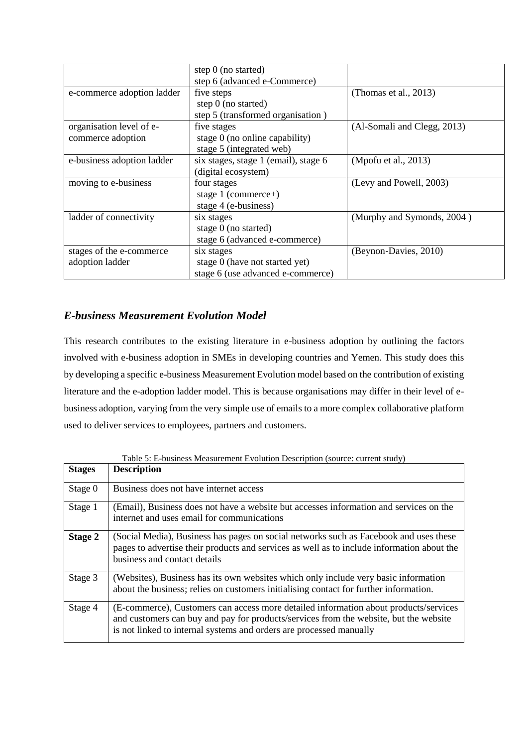|                            | step 0 (no started)                  |                             |
|----------------------------|--------------------------------------|-----------------------------|
|                            | step 6 (advanced e-Commerce)         |                             |
| e-commerce adoption ladder | five steps                           | (Thomas et al., 2013)       |
|                            | step $0$ (no started)                |                             |
|                            | step 5 (transformed organisation)    |                             |
| organisation level of e-   | five stages                          | (Al-Somali and Clegg, 2013) |
| commerce adoption          | stage $0$ (no online capability)     |                             |
|                            | stage 5 (integrated web)             |                             |
| e-business adoption ladder | six stages, stage 1 (email), stage 6 | (Mpofu et al., 2013)        |
|                            | (digital ecosystem)                  |                             |
| moving to e-business       | four stages                          | (Levy and Powell, 2003)     |
|                            | stage $1$ (commerce+)                |                             |
|                            | stage 4 (e-business)                 |                             |
| ladder of connectivity     | six stages                           | (Murphy and Symonds, 2004)  |
|                            | stage 0 (no started)                 |                             |
|                            | stage 6 (advanced e-commerce)        |                             |
| stages of the e-commerce   | six stages                           | (Beynon-Davies, 2010)       |
| adoption ladder            | stage 0 (have not started yet)       |                             |
|                            | stage 6 (use advanced e-commerce)    |                             |

# *E-business Measurement Evolution Model*

This research contributes to the existing literature in e-business adoption by outlining the factors involved with e-business adoption in SMEs in developing countries and Yemen. This study does this by developing a specific e-business Measurement Evolution model based on the contribution of existing literature and the e-adoption ladder model. This is because organisations may differ in their level of ebusiness adoption, varying from the very simple use of emails to a more complex collaborative platform used to deliver services to employees, partners and customers.

| <b>Stages</b> | <b>Description</b>                                                                                                                                                                                                                                   |
|---------------|------------------------------------------------------------------------------------------------------------------------------------------------------------------------------------------------------------------------------------------------------|
| Stage 0       | Business does not have internet access                                                                                                                                                                                                               |
| Stage 1       | (Email), Business does not have a website but accesses information and services on the<br>internet and uses email for communications                                                                                                                 |
| Stage 2       | (Social Media), Business has pages on social networks such as Facebook and uses these<br>pages to advertise their products and services as well as to include information about the<br>business and contact details                                  |
| Stage 3       | (Websites), Business has its own websites which only include very basic information<br>about the business; relies on customers initialising contact for further information.                                                                         |
| Stage 4       | (E-commerce), Customers can access more detailed information about products/services<br>and customers can buy and pay for products/services from the website, but the website<br>is not linked to internal systems and orders are processed manually |

Table 5: E-business Measurement Evolution Description (source: current study)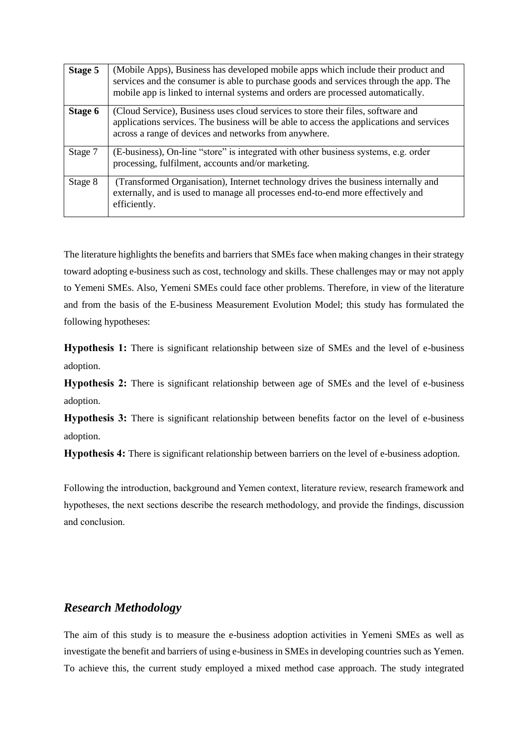| Stage 5 | (Mobile Apps), Business has developed mobile apps which include their product and<br>services and the consumer is able to purchase goods and services through the app. The<br>mobile app is linked to internal systems and orders are processed automatically. |
|---------|----------------------------------------------------------------------------------------------------------------------------------------------------------------------------------------------------------------------------------------------------------------|
| Stage 6 | (Cloud Service), Business uses cloud services to store their files, software and<br>applications services. The business will be able to access the applications and services<br>across a range of devices and networks from anywhere.                          |
| Stage 7 | (E-business), On-line "store" is integrated with other business systems, e.g. order<br>processing, fulfilment, accounts and/or marketing.                                                                                                                      |
| Stage 8 | (Transformed Organisation), Internet technology drives the business internally and<br>externally, and is used to manage all processes end-to-end more effectively and<br>efficiently.                                                                          |

The literature highlights the benefits and barriers that SMEs face when making changes in their strategy toward adopting e-business such as cost, technology and skills. These challenges may or may not apply to Yemeni SMEs. Also, Yemeni SMEs could face other problems. Therefore, in view of the literature and from the basis of the E-business Measurement Evolution Model; this study has formulated the following hypotheses:

**Hypothesis 1:** There is significant relationship between size of SMEs and the level of e-business adoption.

**Hypothesis 2:** There is significant relationship between age of SMEs and the level of e-business adoption.

**Hypothesis 3:** There is significant relationship between benefits factor on the level of e-business adoption.

**Hypothesis 4:** There is significant relationship between barriers on the level of e-business adoption.

Following the introduction, background and Yemen context, literature review, research framework and hypotheses, the next sections describe the research methodology, and provide the findings, discussion and conclusion.

## *Research Methodology*

The aim of this study is to measure the e-business adoption activities in Yemeni SMEs as well as investigate the benefit and barriers of using e-business in SMEs in developing countries such as Yemen. To achieve this, the current study employed a mixed method case approach. The study integrated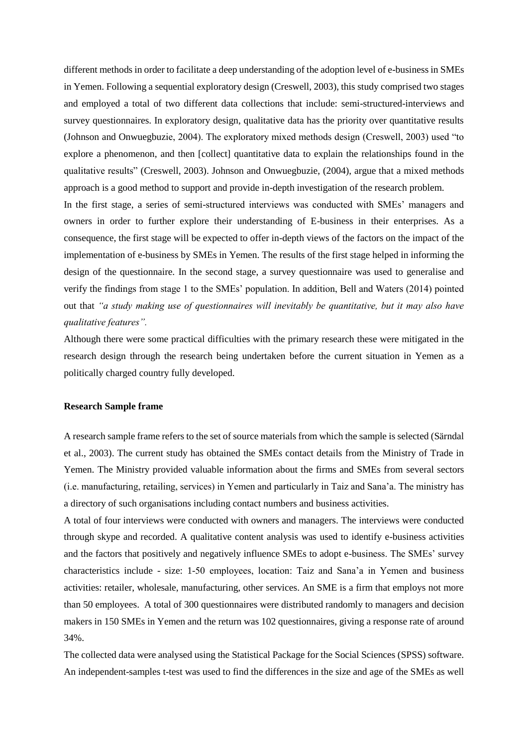different methods in order to facilitate a deep understanding of the adoption level of e-business in SMEs in Yemen. Following a sequential exploratory design (Creswell, 2003), this study comprised two stages and employed a total of two different data collections that include: semi-structured-interviews and survey questionnaires. In exploratory design, qualitative data has the priority over quantitative results (Johnson and Onwuegbuzie, 2004). The exploratory mixed methods design (Creswell, 2003) used "to explore a phenomenon, and then [collect] quantitative data to explain the relationships found in the qualitative results" (Creswell, 2003). Johnson and Onwuegbuzie, (2004), argue that a mixed methods approach is a good method to support and provide in-depth investigation of the research problem. In the first stage, a series of semi-structured interviews was conducted with SMEs' managers and

owners in order to further explore their understanding of E-business in their enterprises. As a consequence, the first stage will be expected to offer in-depth views of the factors on the impact of the implementation of e-business by SMEs in Yemen. The results of the first stage helped in informing the design of the questionnaire. In the second stage, a survey questionnaire was used to generalise and verify the findings from stage 1 to the SMEs' population. In addition, Bell and Waters (2014) pointed out that *"a study making use of questionnaires will inevitably be quantitative, but it may also have qualitative features".*

Although there were some practical difficulties with the primary research these were mitigated in the research design through the research being undertaken before the current situation in Yemen as a politically charged country fully developed.

## **Research Sample frame**

A research sample frame refers to the set of source materials from which the sample is selected (Särndal et al., 2003). The current study has obtained the SMEs contact details from the Ministry of Trade in Yemen. The Ministry provided valuable information about the firms and SMEs from several sectors (i.e. manufacturing, retailing, services) in Yemen and particularly in Taiz and Sana'a. The ministry has a directory of such organisations including contact numbers and business activities.

A total of four interviews were conducted with owners and managers. The interviews were conducted through skype and recorded. A qualitative content analysis was used to identify e-business activities and the factors that positively and negatively influence SMEs to adopt e-business. The SMEs' survey characteristics include - size: 1-50 employees, location: Taiz and Sana'a in Yemen and business activities: retailer, wholesale, manufacturing, other services. An SME is a firm that employs not more than 50 employees. A total of 300 questionnaires were distributed randomly to managers and decision makers in 150 SMEs in Yemen and the return was 102 questionnaires, giving a response rate of around 34%.

The collected data were analysed using the Statistical Package for the Social Sciences (SPSS) software. An independent-samples t-test was used to find the differences in the size and age of the SMEs as well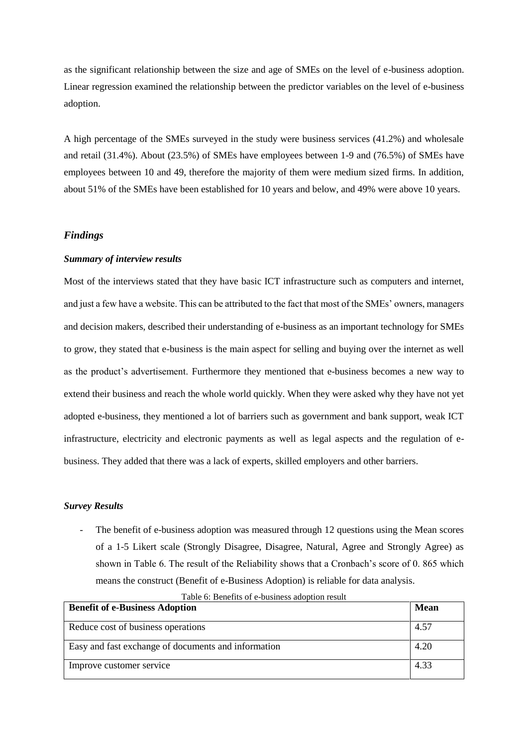as the significant relationship between the size and age of SMEs on the level of e-business adoption. Linear regression examined the relationship between the predictor variables on the level of e-business adoption.

A high percentage of the SMEs surveyed in the study were business services (41.2%) and wholesale and retail (31.4%). About (23.5%) of SMEs have employees between 1-9 and (76.5%) of SMEs have employees between 10 and 49, therefore the majority of them were medium sized firms. In addition, about 51% of the SMEs have been established for 10 years and below, and 49% were above 10 years.

#### *Findings*

#### *Summary of interview results*

Most of the interviews stated that they have basic ICT infrastructure such as computers and internet, and just a few have a website. This can be attributed to the fact that most of the SMEs' owners, managers and decision makers, described their understanding of e-business as an important technology for SMEs to grow, they stated that e-business is the main aspect for selling and buying over the internet as well as the product's advertisement. Furthermore they mentioned that e-business becomes a new way to extend their business and reach the whole world quickly. When they were asked why they have not yet adopted e-business, they mentioned a lot of barriers such as government and bank support, weak ICT infrastructure, electricity and electronic payments as well as legal aspects and the regulation of ebusiness. They added that there was a lack of experts, skilled employers and other barriers.

#### *Survey Results*

The benefit of e-business adoption was measured through 12 questions using the Mean scores of a 1-5 Likert scale (Strongly Disagree, Disagree, Natural, Agree and Strongly Agree) as shown in Table 6. The result of the Reliability shows that a Cronbach's score of 0. 865 which means the construct (Benefit of e-Business Adoption) is reliable for data analysis.

| <b>Benefit of e-Business Adoption</b>               | Mean |
|-----------------------------------------------------|------|
| Reduce cost of business operations                  | 4.57 |
| Easy and fast exchange of documents and information | 4.20 |
| Improve customer service                            | 4.33 |

Table 6: Benefits of e-business adoption result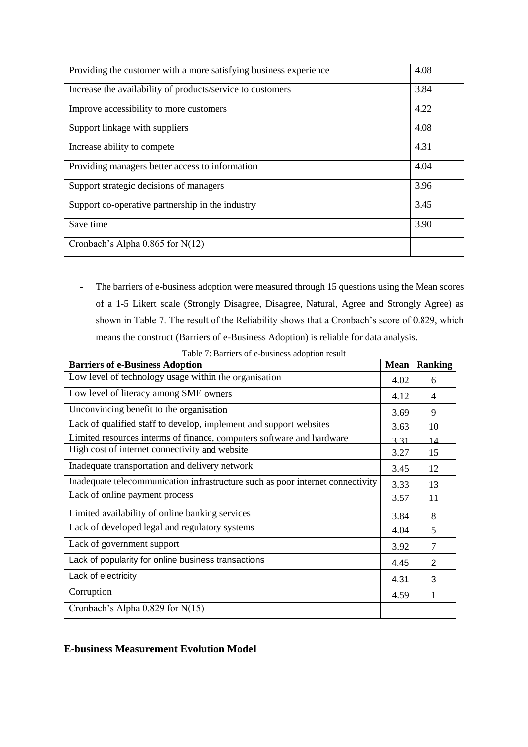| Providing the customer with a more satisfying business experience | 4.08 |
|-------------------------------------------------------------------|------|
| Increase the availability of products/service to customers        | 3.84 |
| Improve accessibility to more customers                           | 4.22 |
| Support linkage with suppliers                                    | 4.08 |
| Increase ability to compete                                       | 4.31 |
| Providing managers better access to information                   | 4.04 |
| Support strategic decisions of managers                           | 3.96 |
| Support co-operative partnership in the industry                  | 3.45 |
| Save time                                                         | 3.90 |
| Cronbach's Alpha $0.865$ for N(12)                                |      |

- The barriers of e-business adoption were measured through 15 questions using the Mean scores of a 1-5 Likert scale (Strongly Disagree, Disagree, Natural, Agree and Strongly Agree) as shown in Table 7. The result of the Reliability shows that a Cronbach's score of 0.829, which means the construct (Barriers of e-Business Adoption) is reliable for data analysis.

| <b>Barriers of e-Business Adoption</b>                                         | <b>Mean</b> | <b>Ranking</b> |
|--------------------------------------------------------------------------------|-------------|----------------|
| Low level of technology usage within the organisation                          | 4.02        | 6              |
| Low level of literacy among SME owners                                         | 4.12        | 4              |
| Unconvincing benefit to the organisation                                       | 3.69        | 9              |
| Lack of qualified staff to develop, implement and support websites             | 3.63        | 10             |
| Limited resources interms of finance, computers software and hardware          | 3 3 1       | 14             |
| High cost of internet connectivity and website                                 | 3.27        | 15             |
| Inadequate transportation and delivery network                                 | 3.45        | 12             |
| Inadequate telecommunication infrastructure such as poor internet connectivity | 3.33        | 13             |
| Lack of online payment process                                                 | 3.57        | 11             |
| Limited availability of online banking services                                | 3.84        | 8              |
| Lack of developed legal and regulatory systems                                 | 4.04        | 5              |
| Lack of government support                                                     | 3.92        | 7              |
| Lack of popularity for online business transactions                            | 4.45        | 2              |
| Lack of electricity                                                            | 4.31        | 3              |
| Corruption                                                                     | 4.59        | 1              |
| Cronbach's Alpha 0.829 for N(15)                                               |             |                |

Table 7: Barriers of e-business adoption result

## **E-business Measurement Evolution Model**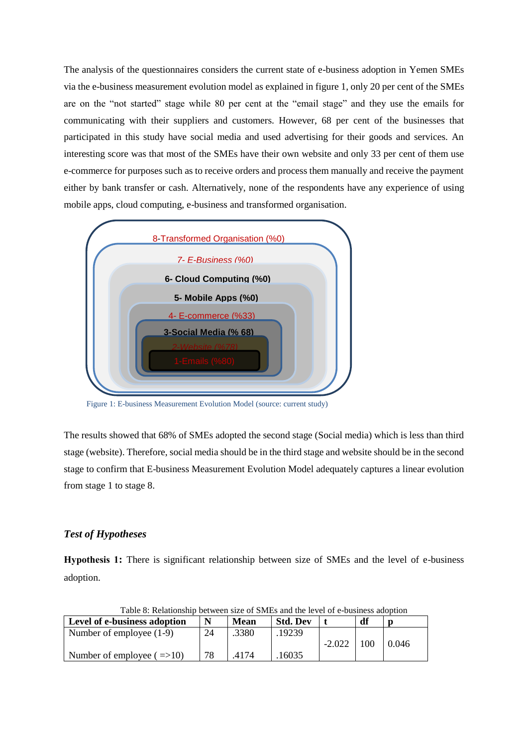The analysis of the questionnaires considers the current state of e-business adoption in Yemen SMEs via the e-business measurement evolution model as explained in figure 1, only 20 per cent of the SMEs are on the "not started" stage while 80 per cent at the "email stage" and they use the emails for communicating with their suppliers and customers. However, 68 per cent of the businesses that participated in this study have social media and used advertising for their goods and services. An interesting score was that most of the SMEs have their own website and only 33 per cent of them use e-commerce for purposes such as to receive orders and process them manually and receive the payment either by bank transfer or cash. Alternatively, none of the respondents have any experience of using mobile apps, cloud computing, e-business and transformed organisation.



Figure 1: E-business Measurement Evolution Model (source: current study)

The results showed that 68% of SMEs adopted the second stage (Social media) which is less than third stage (website). Therefore, social media should be in the third stage and website should be in the second stage to confirm that E-business Measurement Evolution Model adequately captures a linear evolution from stage 1 to stage 8.

## *Test of Hypotheses*

**Hypothesis 1:** There is significant relationship between size of SMEs and the level of e-business adoption.

| Table 6. Relationship between size of Siviles and the level of e-busiliess adoption |    |             |                 |          |    |       |
|-------------------------------------------------------------------------------------|----|-------------|-----------------|----------|----|-------|
| Level of e-business adoption                                                        |    | <b>Mean</b> | <b>Std. Dev</b> |          | df |       |
| Number of employee $(1-9)$                                                          | 24 | .3380       | .19239          | $-2.022$ | 00 | 0.046 |
| Number of employee $( \implies 10)$                                                 | 78 | 4174        | 16035           |          |    |       |

Table 8: Relationship between size of SMEs and the level of e-business adoption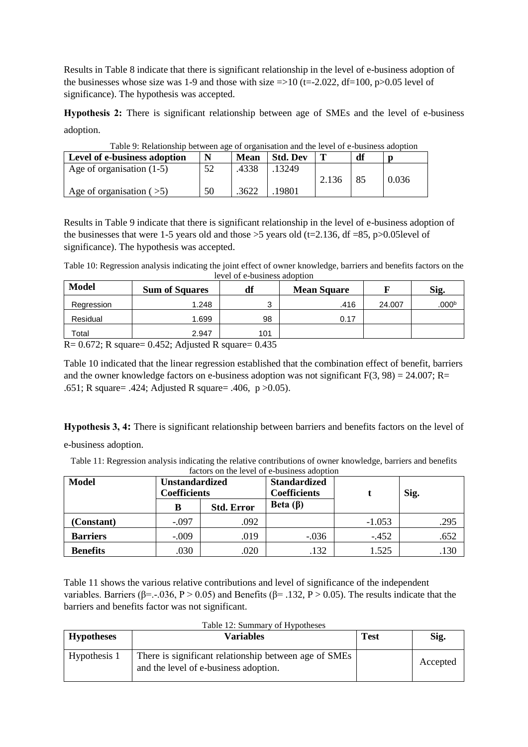Results in Table 8 indicate that there is significant relationship in the level of e-business adoption of the businesses whose size was 1-9 and those with size  $\approx$  10 (t=-2.022, df=100, p $>$ 0.05 level of significance). The hypothesis was accepted.

**Hypothesis 2:** There is significant relationship between age of SMEs and the level of e-business adoption.

| Table 9. Relationship between age of organisation and the level of e-business adoption<br>Level of e-business adoption | N  | <b>Mean</b> | <b>Std. Dev</b> |       | df  |       |
|------------------------------------------------------------------------------------------------------------------------|----|-------------|-----------------|-------|-----|-------|
| Age of organisation $(1-5)$                                                                                            | 52 | .4338       | 13249           |       |     |       |
|                                                                                                                        |    |             |                 | 2.136 | -85 | 0.036 |
| Age of organisation $($ > 5)                                                                                           | 50 | 3622        | 19801           |       |     |       |

Table 9: Relationship between age of organisation and the level of e-business adoption

Results in Table 9 indicate that there is significant relationship in the level of e-business adoption of the businesses that were 1-5 years old and those  $>5$  years old (t=2.136, df =85, p $>0.05$ level of significance). The hypothesis was accepted.

Table 10: Regression analysis indicating the joint effect of owner knowledge, barriers and benefits factors on the level of e-business adoption

| <b>Model</b> | <b>Sum of Squares</b> | df     | <b>Mean Square</b> |        | Sig.              |
|--------------|-----------------------|--------|--------------------|--------|-------------------|
| Regression   | 1.248                 | ว<br>ບ | .416               | 24.007 | .000 <sup>b</sup> |
| Residual     | .699                  | 98     | 0.17               |        |                   |
| Total        | 2.947                 | 101    |                    |        |                   |
| P(A, A)      | $0.452 \pm 1$         | 0.127  |                    |        |                   |

 $R = 0.672$ ; R square= 0.452; Adjusted R square= 0.435

Table 10 indicated that the linear regression established that the combination effect of benefit, barriers and the owner knowledge factors on e-business adoption was not significant  $F(3, 98) = 24.007$ ; R= .651; R square= .424; Adjusted R square= .406, p >0.05).

**Hypothesis 3, 4:** There is significant relationship between barriers and benefits factors on the level of

e-business adoption.

Table 11: Regression analysis indicating the relative contributions of owner knowledge, barriers and benefits factors on the level of e-business adoption

| <b>Model</b>    | ractors on the level of e-business adoption<br><b>Unstandardized</b><br>Coefficients |                   | <b>Standardized</b><br><b>Coefficients</b> |          | Sig. |
|-----------------|--------------------------------------------------------------------------------------|-------------------|--------------------------------------------|----------|------|
|                 | в                                                                                    | <b>Std. Error</b> | Beta $(\beta)$                             |          |      |
| (Constant)      | $-.097$                                                                              | .092              |                                            | $-1.053$ | .295 |
| <b>Barriers</b> | $-.009$                                                                              | .019              | $-.036$                                    | $-452$   | .652 |
| <b>Benefits</b> | .030                                                                                 | .020              | .132                                       | 1.525    | .130 |

Table 11 shows the various relative contributions and level of significance of the independent variables. Barriers (β=.-.036, P > 0.05) and Benefits (β=.132, P > 0.05). The results indicate that the barriers and benefits factor was not significant.

| Table 12: Summary of Hypotheses |                                                                                                |             |          |  |  |  |
|---------------------------------|------------------------------------------------------------------------------------------------|-------------|----------|--|--|--|
| <b>Hypotheses</b>               | Variables                                                                                      | <b>Test</b> | Sig.     |  |  |  |
| Hypothesis 1                    | There is significant relationship between age of SMEs<br>and the level of e-business adoption. |             | Accepted |  |  |  |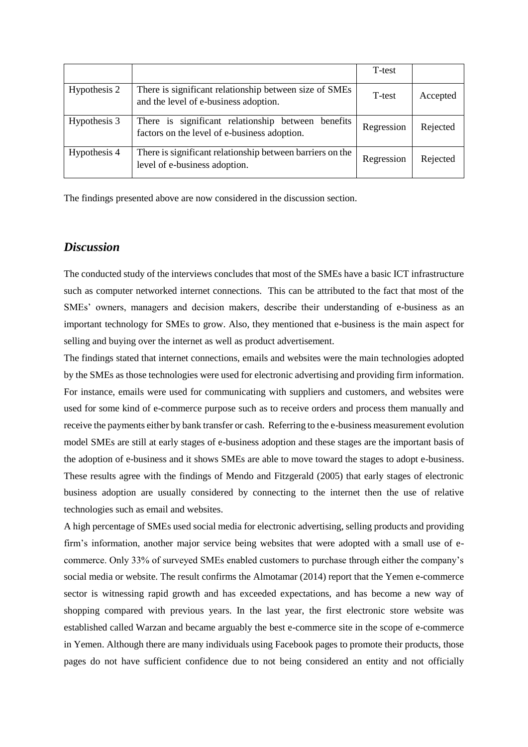|              |                                                                                                    | T-test     |          |
|--------------|----------------------------------------------------------------------------------------------------|------------|----------|
| Hypothesis 2 | There is significant relationship between size of SMEs<br>and the level of e-business adoption.    | T-test     | Accepted |
| Hypothesis 3 | There is significant relationship between benefits<br>factors on the level of e-business adoption. | Regression | Rejected |
| Hypothesis 4 | There is significant relationship between barriers on the<br>level of e-business adoption.         | Regression | Rejected |

The findings presented above are now considered in the discussion section.

## *Discussion*

The conducted study of the interviews concludes that most of the SMEs have a basic ICT infrastructure such as computer networked internet connections. This can be attributed to the fact that most of the SMEs' owners, managers and decision makers, describe their understanding of e-business as an important technology for SMEs to grow. Also, they mentioned that e-business is the main aspect for selling and buying over the internet as well as product advertisement.

The findings stated that internet connections, emails and websites were the main technologies adopted by the SMEs as those technologies were used for electronic advertising and providing firm information. For instance, emails were used for communicating with suppliers and customers, and websites were used for some kind of e-commerce purpose such as to receive orders and process them manually and receive the payments either by bank transfer or cash. Referring to the e-business measurement evolution model SMEs are still at early stages of e-business adoption and these stages are the important basis of the adoption of e-business and it shows SMEs are able to move toward the stages to adopt e-business. These results agree with the findings of Mendo and Fitzgerald (2005) that early stages of electronic business adoption are usually considered by connecting to the internet then the use of relative technologies such as email and websites.

A high percentage of SMEs used social media for electronic advertising, selling products and providing firm's information, another major service being websites that were adopted with a small use of ecommerce. Only 33% of surveyed SMEs enabled customers to purchase through either the company's social media or website. The result confirms the Almotamar (2014) report that the Yemen e-commerce sector is witnessing rapid growth and has exceeded expectations, and has become a new way of shopping compared with previous years. In the last year, the first electronic store website was established called Warzan and became arguably the best e-commerce site in the scope of e-commerce in Yemen. Although there are many individuals using Facebook pages to promote their products, those pages do not have sufficient confidence due to not being considered an entity and not officially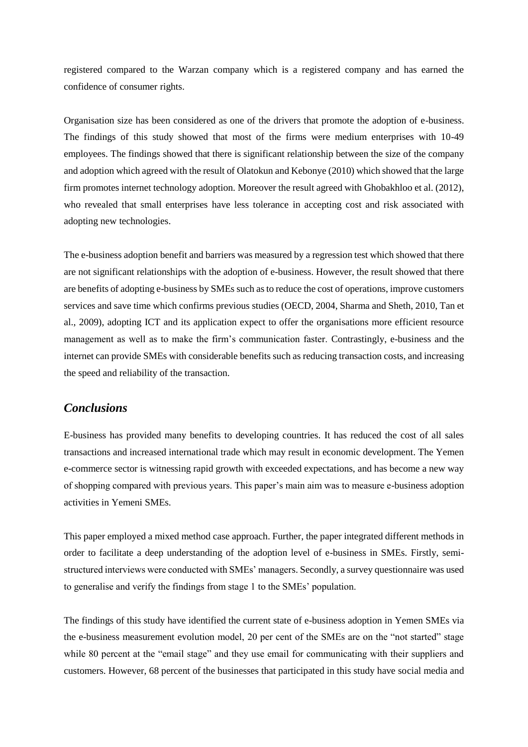registered compared to the Warzan company which is a registered company and has earned the confidence of consumer rights.

Organisation size has been considered as one of the drivers that promote the adoption of e-business. The findings of this study showed that most of the firms were medium enterprises with 10-49 employees. The findings showed that there is significant relationship between the size of the company and adoption which agreed with the result of Olatokun and Kebonye (2010) which showed that the large firm promotes internet technology adoption. Moreover the result agreed with Ghobakhloo et al. (2012), who revealed that small enterprises have less tolerance in accepting cost and risk associated with adopting new technologies.

The e-business adoption benefit and barriers was measured by a regression test which showed that there are not significant relationships with the adoption of e-business. However, the result showed that there are benefits of adopting e-business by SMEs such as to reduce the cost of operations, improve customers services and save time which confirms previous studies (OECD, 2004, Sharma and Sheth, 2010, Tan et al., 2009), adopting ICT and its application expect to offer the organisations more efficient resource management as well as to make the firm's communication faster. Contrastingly, e-business and the internet can provide SMEs with considerable benefits such as reducing transaction costs, and increasing the speed and reliability of the transaction.

# *Conclusions*

E-business has provided many benefits to developing countries. It has reduced the cost of all sales transactions and increased international trade which may result in economic development. The Yemen e-commerce sector is witnessing rapid growth with exceeded expectations, and has become a new way of shopping compared with previous years. This paper's main aim was to measure e-business adoption activities in Yemeni SMEs.

This paper employed a mixed method case approach. Further, the paper integrated different methods in order to facilitate a deep understanding of the adoption level of e-business in SMEs. Firstly, semistructured interviews were conducted with SMEs' managers. Secondly, a survey questionnaire was used to generalise and verify the findings from stage 1 to the SMEs' population.

The findings of this study have identified the current state of e-business adoption in Yemen SMEs via the e-business measurement evolution model, 20 per cent of the SMEs are on the "not started" stage while 80 percent at the "email stage" and they use email for communicating with their suppliers and customers. However, 68 percent of the businesses that participated in this study have social media and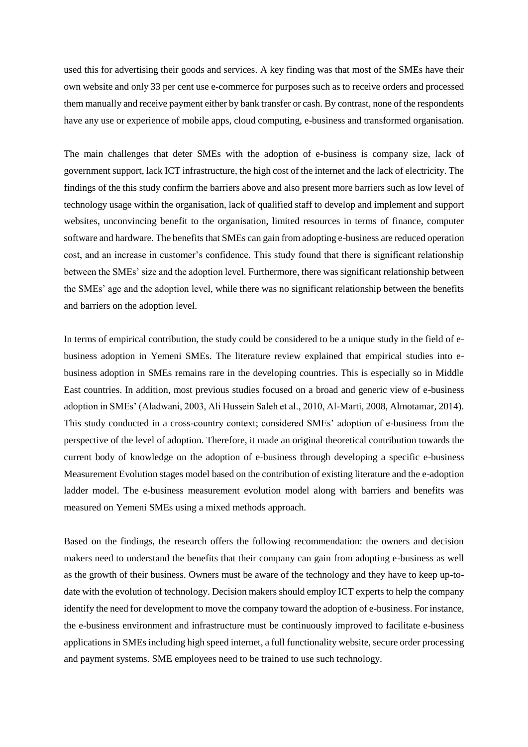used this for advertising their goods and services. A key finding was that most of the SMEs have their own website and only 33 per cent use e-commerce for purposes such as to receive orders and processed them manually and receive payment either by bank transfer or cash. By contrast, none of the respondents have any use or experience of mobile apps, cloud computing, e-business and transformed organisation.

The main challenges that deter SMEs with the adoption of e-business is company size, lack of government support, lack ICT infrastructure, the high cost of the internet and the lack of electricity. The findings of the this study confirm the barriers above and also present more barriers such as low level of technology usage within the organisation, lack of qualified staff to develop and implement and support websites, unconvincing benefit to the organisation, limited resources in terms of finance, computer software and hardware. The benefits that SMEs can gain from adopting e-business are reduced operation cost, and an increase in customer's confidence. This study found that there is significant relationship between the SMEs' size and the adoption level. Furthermore, there was significant relationship between the SMEs' age and the adoption level, while there was no significant relationship between the benefits and barriers on the adoption level.

In terms of empirical contribution, the study could be considered to be a unique study in the field of ebusiness adoption in Yemeni SMEs. The literature review explained that empirical studies into ebusiness adoption in SMEs remains rare in the developing countries. This is especially so in Middle East countries. In addition, most previous studies focused on a broad and generic view of e-business adoption in SMEs' (Aladwani, 2003, Ali Hussein Saleh et al., 2010, Al-Marti, 2008, Almotamar, 2014). This study conducted in a cross-country context; considered SMEs' adoption of e-business from the perspective of the level of adoption. Therefore, it made an original theoretical contribution towards the current body of knowledge on the adoption of e-business through developing a specific e-business Measurement Evolution stages model based on the contribution of existing literature and the e-adoption ladder model. The e-business measurement evolution model along with barriers and benefits was measured on Yemeni SMEs using a mixed methods approach.

Based on the findings, the research offers the following recommendation: the owners and decision makers need to understand the benefits that their company can gain from adopting e-business as well as the growth of their business. Owners must be aware of the technology and they have to keep up-todate with the evolution of technology. Decision makers should employ ICT experts to help the company identify the need for development to move the company toward the adoption of e-business. For instance, the e-business environment and infrastructure must be continuously improved to facilitate e-business applications in SMEs including high speed internet, a full functionality website, secure order processing and payment systems. SME employees need to be trained to use such technology.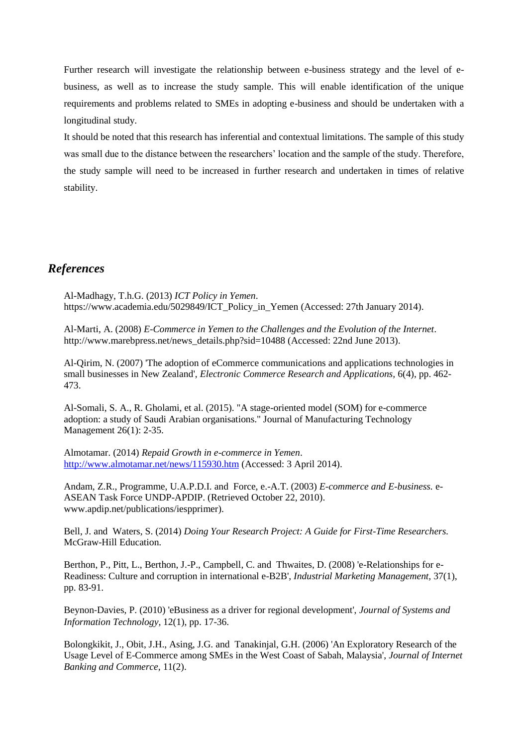Further research will investigate the relationship between e-business strategy and the level of ebusiness, as well as to increase the study sample. This will enable identification of the unique requirements and problems related to SMEs in adopting e-business and should be undertaken with a longitudinal study.

It should be noted that this research has inferential and contextual limitations. The sample of this study was small due to the distance between the researchers' location and the sample of the study. Therefore, the study sample will need to be increased in further research and undertaken in times of relative stability.

## *References*

Al-Madhagy, T.h.G. (2013) *ICT Policy in Yemen*. https://www.academia.edu/5029849/ICT\_Policy\_in\_Yemen (Accessed: 27th January 2014).

Al-Marti, A. (2008) *E-Commerce in Yemen to the Challenges and the Evolution of the Internet*. http://www.marebpress.net/news\_details.php?sid=10488 (Accessed: 22nd June 2013).

Al-Qirim, N. (2007) 'The adoption of eCommerce communications and applications technologies in small businesses in New Zealand', *Electronic Commerce Research and Applications,* 6(4), pp. 462- 473.

Al-Somali, S. A., R. Gholami, et al. (2015). "A stage-oriented model (SOM) for e-commerce adoption: a study of Saudi Arabian organisations." Journal of Manufacturing Technology Management 26(1): 2-35.

Almotamar. (2014) *Repaid Growth in e-commerce in Yemen*. <http://www.almotamar.net/news/115930.htm> (Accessed: 3 April 2014).

Andam, Z.R., Programme, U.A.P.D.I. and Force, e.-A.T. (2003) *E-commerce and E-business.* e-ASEAN Task Force UNDP-APDIP. (Retrieved October 22, 2010). www.apdip.net/publications/iespprimer).

Bell, J. and Waters, S. (2014) *Doing Your Research Project: A Guide for First-Time Researchers.* McGraw-Hill Education.

Berthon, P., Pitt, L., Berthon, J.-P., Campbell, C. and Thwaites, D. (2008) 'e-Relationships for e-Readiness: Culture and corruption in international e-B2B', *Industrial Marketing Management,* 37(1), pp. 83-91.

Beynon‐Davies, P. (2010) 'eBusiness as a driver for regional development', *Journal of Systems and Information Technology,* 12(1), pp. 17-36.

Bolongkikit, J., Obit, J.H., Asing, J.G. and Tanakinjal, G.H. (2006) 'An Exploratory Research of the Usage Level of E-Commerce among SMEs in the West Coast of Sabah, Malaysia', *Journal of Internet Banking and Commerce,* 11(2).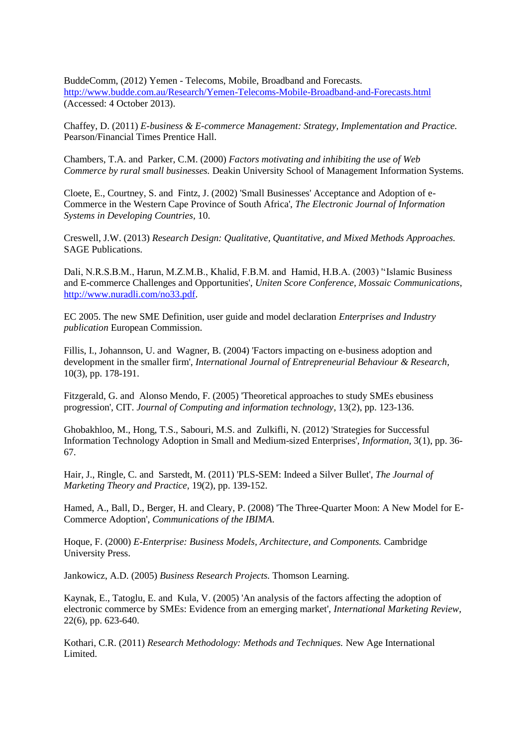BuddeComm, (2012) Yemen - Telecoms, Mobile, Broadband and Forecasts. <http://www.budde.com.au/Research/Yemen-Telecoms-Mobile-Broadband-and-Forecasts.html> (Accessed: 4 October 2013).

Chaffey, D. (2011) *E-business & E-commerce Management: Strategy, Implementation and Practice.* Pearson/Financial Times Prentice Hall.

Chambers, T.A. and Parker, C.M. (2000) *Factors motivating and inhibiting the use of Web Commerce by rural small businesses.* Deakin University School of Management Information Systems.

Cloete, E., Courtney, S. and Fintz, J. (2002) 'Small Businesses' Acceptance and Adoption of e-Commerce in the Western Cape Province of South Africa', *The Electronic Journal of Information Systems in Developing Countries,* 10.

Creswell, J.W. (2013) *Research Design: Qualitative, Quantitative, and Mixed Methods Approaches.* SAGE Publications.

Dali, N.R.S.B.M., Harun, M.Z.M.B., Khalid, F.B.M. and Hamid, H.B.A. (2003) ''Islamic Business and E-commerce Challenges and Opportunities', *Uniten Score Conference, Mossaic Communications*, [http://www.nuradli.com/no33.pdf.](http://www.nuradli.com/no33.pdf)

EC 2005. The new SME Definition, user guide and model declaration *Enterprises and Industry publication* European Commission.

Fillis, I., Johannson, U. and Wagner, B. (2004) 'Factors impacting on e-business adoption and development in the smaller firm', *International Journal of Entrepreneurial Behaviour & Research,* 10(3), pp. 178-191.

Fitzgerald, G. and Alonso Mendo, F. (2005) 'Theoretical approaches to study SMEs ebusiness progression', CIT. *Journal of Computing and information technology*, 13(2), pp. 123-136.

Ghobakhloo, M., Hong, T.S., Sabouri, M.S. and Zulkifli, N. (2012) 'Strategies for Successful Information Technology Adoption in Small and Medium-sized Enterprises', *Information,* 3(1), pp. 36- 67.

Hair, J., Ringle, C. and Sarstedt, M. (2011) 'PLS-SEM: Indeed a Silver Bullet', *The Journal of Marketing Theory and Practice,* 19(2), pp. 139-152.

Hamed, A., Ball, D., Berger, H. and Cleary, P. (2008) 'The Three-Quarter Moon: A New Model for E-Commerce Adoption', *Communications of the IBIMA*.

Hoque, F. (2000) *E-Enterprise: Business Models, Architecture, and Components.* Cambridge University Press.

Jankowicz, A.D. (2005) *Business Research Projects.* Thomson Learning.

Kaynak, E., Tatoglu, E. and Kula, V. (2005) 'An analysis of the factors affecting the adoption of electronic commerce by SMEs: Evidence from an emerging market', *International Marketing Review,* 22(6), pp. 623-640.

Kothari, C.R. (2011) *Research Methodology: Methods and Techniques.* New Age International Limited.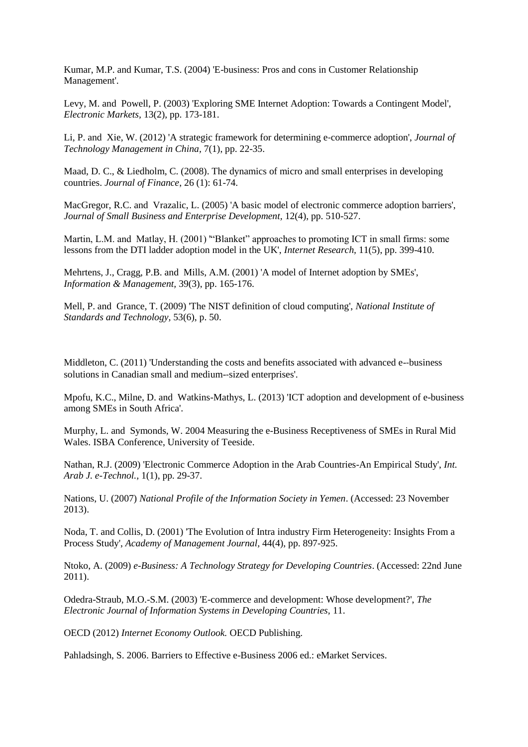Kumar, M.P. and Kumar, T.S. (2004) 'E-business: Pros and cons in Customer Relationship Management'.

Levy, M. and Powell, P. (2003) 'Exploring SME Internet Adoption: Towards a Contingent Model', *Electronic Markets,* 13(2), pp. 173-181.

Li, P. and Xie, W. (2012) 'A strategic framework for determining e‐commerce adoption', *Journal of Technology Management in China,* 7(1), pp. 22-35.

Maad, D. C., & Liedholm, C. (2008). The dynamics of micro and small enterprises in developing countries. *Journal of Finance*, 26 (1): 61-74.

MacGregor, R.C. and Vrazalic, L. (2005) 'A basic model of electronic commerce adoption barriers', *Journal of Small Business and Enterprise Development,* 12(4), pp. 510-527.

Martin, L.M. and Matlay, H. (2001) '"Blanket" approaches to promoting ICT in small firms: some lessons from the DTI ladder adoption model in the UK', *Internet Research,* 11(5), pp. 399-410.

Mehrtens, J., Cragg, P.B. and Mills, A.M. (2001) 'A model of Internet adoption by SMEs', *Information & Management,* 39(3), pp. 165-176.

Mell, P. and Grance, T. (2009) 'The NIST definition of cloud computing', *National Institute of Standards and Technology,* 53(6), p. 50.

Middleton, C. (2011) 'Understanding the costs and benefits associated with advanced e-business solutions in Canadian small and medium-‐sized enterprises'.

Mpofu, K.C., Milne, D. and Watkins-Mathys, L. (2013) 'ICT adoption and development of e-business among SMEs in South Africa'.

Murphy, L. and Symonds, W. 2004 Measuring the e-Business Receptiveness of SMEs in Rural Mid Wales. ISBA Conference, University of Teeside.

Nathan, R.J. (2009) 'Electronic Commerce Adoption in the Arab Countries-An Empirical Study', *Int. Arab J. e-Technol.,* 1(1), pp. 29-37.

Nations, U. (2007) *National Profile of the Information Society in Yemen*. (Accessed: 23 November 2013).

Noda, T. and Collis, D. (2001) 'The Evolution of Intra industry Firm Heterogeneity: Insights From a Process Study', *Academy of Management Journal,* 44(4), pp. 897-925.

Ntoko, A. (2009) *e-Business: A Technology Strategy for Developing Countries*. (Accessed: 22nd June 2011).

Odedra-Straub, M.O.-S.M. (2003) 'E-commerce and development: Whose development?', *The Electronic Journal of Information Systems in Developing Countries,* 11.

OECD (2012) *Internet Economy Outlook.* OECD Publishing.

Pahladsingh, S. 2006. Barriers to Effective e-Business 2006 ed.: eMarket Services.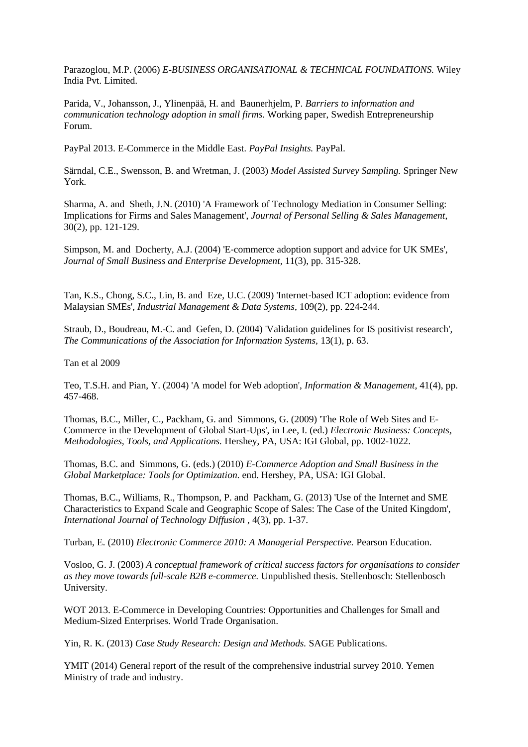Parazoglou, M.P. (2006) *E-BUSINESS ORGANISATIONAL & TECHNICAL FOUNDATIONS.* Wiley India Pvt. Limited.

Parida, V., Johansson, J., Ylinenpää, H. and Baunerhjelm, P. *Barriers to information and communication technology adoption in small firms.* Working paper, Swedish Entrepreneurship Forum.

PayPal 2013. E-Commerce in the Middle East. *PayPal Insights.* PayPal.

Särndal, C.E., Swensson, B. and Wretman, J. (2003) *Model Assisted Survey Sampling.* Springer New York.

Sharma, A. and Sheth, J.N. (2010) 'A Framework of Technology Mediation in Consumer Selling: Implications for Firms and Sales Management', *Journal of Personal Selling & Sales Management*, 30(2), pp. 121-129.

Simpson, M. and Docherty, A.J. (2004) 'E‐commerce adoption support and advice for UK SMEs', *Journal of Small Business and Enterprise Development,* 11(3), pp. 315-328.

Tan, K.S., Chong, S.C., Lin, B. and Eze, U.C. (2009) 'Internet‐based ICT adoption: evidence from Malaysian SMEs', *Industrial Management & Data Systems*, 109(2), pp. 224-244.

Straub, D., Boudreau, M.-C. and Gefen, D. (2004) 'Validation guidelines for IS positivist research', *The Communications of the Association for Information Systems,* 13(1), p. 63.

Tan et al 2009

Teo, T.S.H. and Pian, Y. (2004) 'A model for Web adoption', *Information & Management,* 41(4), pp. 457-468.

Thomas, B.C., Miller, C., Packham, G. and Simmons, G. (2009) 'The Role of Web Sites and E-Commerce in the Development of Global Start-Ups', in Lee, I. (ed.) *Electronic Business: Concepts, Methodologies, Tools, and Applications.* Hershey, PA, USA: IGI Global, pp. 1002-1022.

Thomas, B.C. and Simmons, G. (eds.) (2010) *E-Commerce Adoption and Small Business in the Global Marketplace: Tools for Optimization.* end. Hershey, PA, USA: IGI Global.

Thomas, B.C., Williams, R., Thompson, P. and Packham, G. (2013) 'Use of the Internet and SME Characteristics to Expand Scale and Geographic Scope of Sales: The Case of the United Kingdom', *International Journal of Technology Diffusion ,* 4(3), pp. 1-37.

Turban, E. (2010) *Electronic Commerce 2010: A Managerial Perspective.* Pearson Education.

Vosloo, G. J. (2003) *A conceptual framework of critical success factors for organisations to consider as they move towards full-scale B2B e-commerce.* Unpublished thesis. Stellenbosch: Stellenbosch University.

WOT 2013. E-Commerce in Developing Countries: Opportunities and Challenges for Small and Medium-Sized Enterprises. World Trade Organisation.

Yin, R. K. (2013) *Case Study Research: Design and Methods.* SAGE Publications.

YMIT (2014) General report of the result of the comprehensive industrial survey 2010. Yemen Ministry of trade and industry.